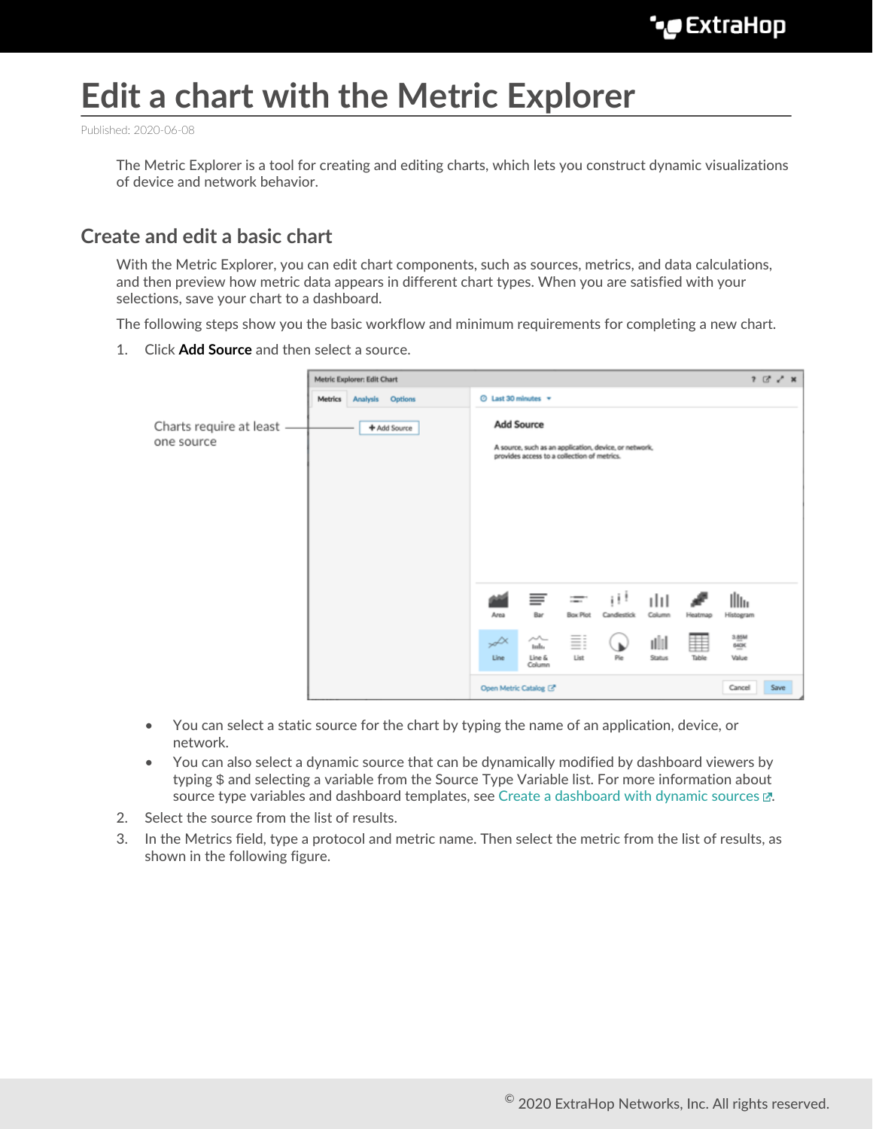# **Edit a chart with the Metric Explorer**

Published: 2020-06-08

The Metric Explorer is a tool for creating and editing charts, which lets you construct dynamic visualizations of device and network behavior.

## **Create and edit a basic chart**

With the Metric Explorer, you can edit chart components, such as sources, metrics, and data calculations, and then preview how metric data appears in different chart types. When you are satisfied with your selections, save your chart to a dashboard.

The following steps show you the basic workflow and minimum requirements for completing a new chart.

1. Click **Add Source** and then select a source.

|                                       | Metric Explorer: Edit Chart |                 |                |                                                                                                                           |                                     |                             |                   | $2G_X$                |            |                        |      |
|---------------------------------------|-----------------------------|-----------------|----------------|---------------------------------------------------------------------------------------------------------------------------|-------------------------------------|-----------------------------|-------------------|-----------------------|------------|------------------------|------|
|                                       | <b>Metrics</b>              | <b>Analysis</b> | <b>Options</b> | © Last 30 minutes ▼                                                                                                       |                                     |                             |                   |                       |            |                        |      |
| Charts require at least<br>one source |                             |                 | + Add Source   | <b>Add Source</b><br>A source, such as an application, device, or network,<br>provides access to a collection of metrics. |                                     |                             |                   |                       |            |                        |      |
|                                       |                             |                 |                | Area                                                                                                                      | ≣<br>Bar                            | $\equiv$<br><b>Bax Plot</b> | Ηt<br>Candlestick | ılıl<br>Column        | Heatmap    | llı.<br>Histogram      |      |
|                                       |                             |                 |                | $\nsim$<br>Line                                                                                                           | $\sim$<br>tulu.<br>Line &<br>Column | Ξi<br>List                  | Pie               | ulil<br><b>Status</b> | ▦<br>Table | 3.85M<br>64OK<br>Value |      |
|                                       |                             |                 |                | Open Metric Catalog <a>[3]</a>                                                                                            |                                     |                             |                   |                       |            | Cancel                 | Save |

- You can select a static source for the chart by typing the name of an application, device, or network.
- You can also select a dynamic source that can be dynamically modified by dashboard viewers by typing \$ and selecting a variable from the Source Type Variable list. For more information about source type variables and dashboard templates, see [Create a dashboard with dynamic sources](https://docs.extrahop.com/8.1/create-dashboard-dynamic-source) E.
- 2. Select the source from the list of results.
- 3. In the Metrics field, type a protocol and metric name. Then select the metric from the list of results, as shown in the following figure.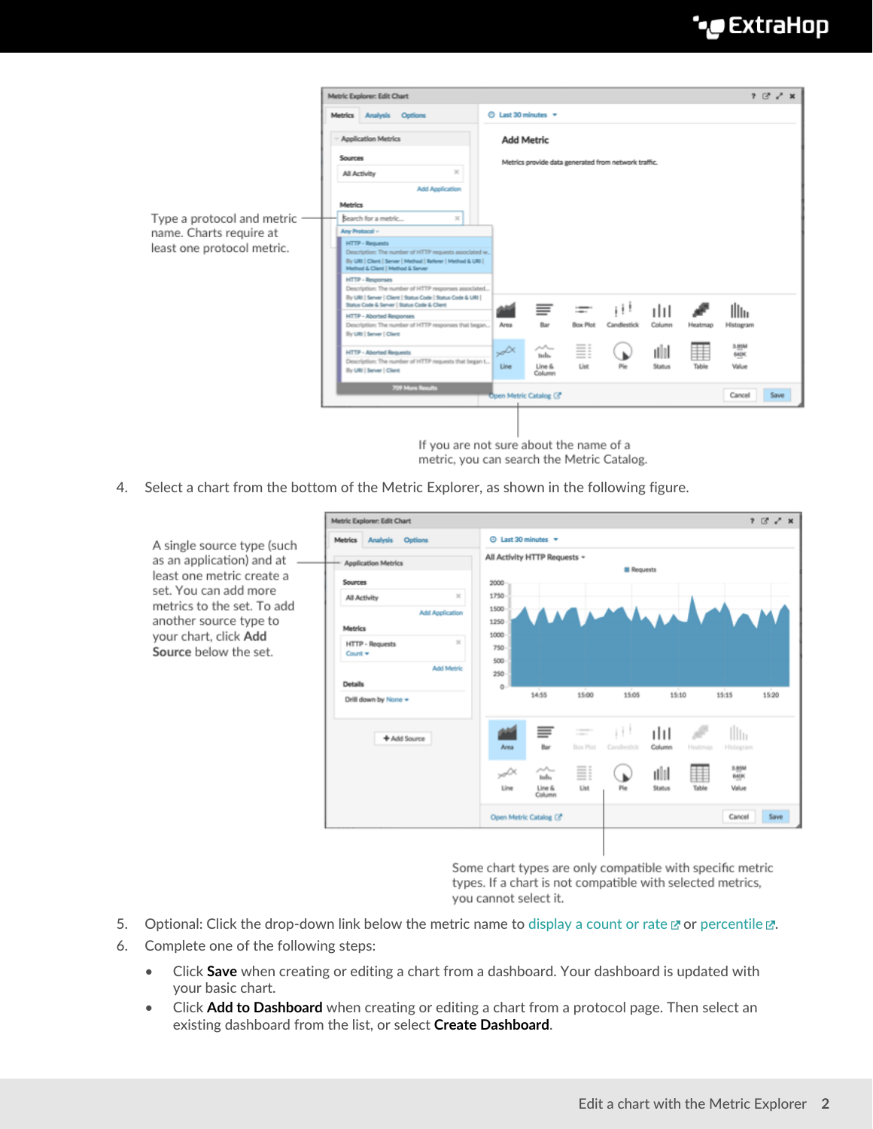## **°∙e** ExtraHop

|                            | Metric Explorer: Edit Chart                                           |                                                                                                                                                                                      |                     |                                                      |                                     |                       |                   |                        |            | $? 12 \times x$        |      |
|----------------------------|-----------------------------------------------------------------------|--------------------------------------------------------------------------------------------------------------------------------------------------------------------------------------|---------------------|------------------------------------------------------|-------------------------------------|-----------------------|-------------------|------------------------|------------|------------------------|------|
|                            |                                                                       | Metrics Analysis Options                                                                                                                                                             | © Last 30 minutes = |                                                      |                                     |                       |                   |                        |            |                        |      |
|                            | <b>Application Metrics</b><br>Sources<br>$\mathbb{R}$<br>All Activity |                                                                                                                                                                                      |                     | <b>Add Metric</b>                                    |                                     |                       |                   |                        |            |                        |      |
|                            |                                                                       |                                                                                                                                                                                      |                     | Metrics provide data generated from network traffic. |                                     |                       |                   |                        |            |                        |      |
|                            |                                                                       |                                                                                                                                                                                      |                     |                                                      |                                     |                       |                   |                        |            |                        |      |
|                            | <b>Add Application</b>                                                |                                                                                                                                                                                      |                     |                                                      |                                     |                       |                   |                        |            |                        |      |
|                            | Metrics                                                               |                                                                                                                                                                                      |                     |                                                      |                                     |                       |                   |                        |            |                        |      |
| Type a protocol and metric |                                                                       | Search for a metric<br>$\mathbbm{H}$                                                                                                                                                 |                     |                                                      |                                     |                       |                   |                        |            |                        |      |
| name. Charts require at    | Any Protocol -                                                        |                                                                                                                                                                                      |                     |                                                      |                                     |                       |                   |                        |            |                        |      |
| least one protocol metric. |                                                                       | <b>HTTP - Requests</b><br>Description: The number of HTTP requests associated w<br>By URI   Client   Server   Method   Referer   Method & URI  <br>Method & Client   Method & Server |                     |                                                      |                                     |                       |                   |                        |            |                        |      |
|                            | <b>HTTP - Responses</b>                                               | Description: The number of HTTP responses associated<br>By URI   Server   Client   Status Code   Status Code & URI  <br>Status Code & Server   Status Code & Client                  |                     |                                                      |                                     |                       |                   |                        |            |                        |      |
|                            |                                                                       | HTTP - Aborted Responses<br>Description: The number of HTTP responses that began<br>By URI   Server   Client                                                                         |                     | Area                                                 | ≡<br>Bar                            | ij<br><b>Box Plot</b> | Ηt<br>Candlestick | ılıl<br>Column         | Heatmap    | Illu<br>Histogram      |      |
|                            |                                                                       | <b>HTTP - Aborted Requests</b><br>Description: The number of HTTP requests that began t<br>By URI   Server   Client                                                                  |                     | $\mathcal{A}^{\mathcal{X}}$<br><b>Line</b>           | $\sim$<br>tula.<br>Line &<br>Column | ≣<br>Ust              | Play              | nllol<br><b>Status</b> | ⋕<br>Table | 3.85M<br>640K<br>Value |      |
|                            |                                                                       | 709 More Results                                                                                                                                                                     |                     | Open Metric Catalog (3"                              |                                     |                       |                   |                        |            | Cancel                 | Save |
|                            |                                                                       |                                                                                                                                                                                      |                     |                                                      |                                     |                       |                   |                        |            |                        |      |

If you are not sure about the name of a metric, you can search the Metric Catalog.

4. Select a chart from the bottom of the Metric Explorer, as shown in the following figure.

A single source type (such as an application) and at least one metric create a set. You can add more metrics to the set. To add another source type to your chart, click Add Source below the set.

| Metrics Analysis Options                          |                | © Last 30 minutes ▼                  |                                  |                    |                                              |         |                    |       |
|---------------------------------------------------|----------------|--------------------------------------|----------------------------------|--------------------|----------------------------------------------|---------|--------------------|-------|
| <b>Application Metrics</b>                        |                | All Activity HTTP Requests -         |                                  | Requests           |                                              |         |                    |       |
| <b>Sources</b>                                    | 2000           |                                      |                                  |                    |                                              |         |                    |       |
| $\mathcal{H}$<br>All Activity                     | 1750           |                                      |                                  |                    |                                              |         |                    |       |
| <b>Add Application</b><br><b>Metrics</b>          | 1500<br>1250   |                                      |                                  |                    | $\overline{A}$ $\overline{A}$ $\overline{A}$ |         |                    |       |
| $\mathbb{M}$<br><b>HTTP - Requests</b><br>Count = | 1000<br>750    |                                      |                                  |                    |                                              |         |                    |       |
| <b>Add Metric</b>                                 | 500<br>$250 -$ |                                      |                                  |                    |                                              |         |                    |       |
|                                                   |                |                                      |                                  |                    |                                              |         |                    |       |
| <b>Details</b><br>Drill down by None =            | 0              | 14:55                                | 15:00                            | 15:05              | 15:10                                        |         | 15:15              |       |
| + Add Source                                      | Area           | ≡<br>Bar                             | $\frac{1}{2}$<br><b>Box Plot</b> | i i<br>Candlestick | ılıl<br>Column                               | Heatmap | Illin<br>Histogram |       |
|                                                   | S.             | $\mathcal{M}_{\mathcal{P}}$<br>tuda. | Ξi                               |                    | ulol                                         | ▦       | 3.85M<br>640K      |       |
|                                                   | Line           | Line &<br>Column                     | List                             | Pie                | Status                                       | Table   | Value              | 15:20 |

Some chart types are only compatible with specific metric types. If a chart is not compatible with selected metrics, you cannot select it.

- 5. Optional: Click the drop-down link below the metric name to [display a count or rate](https://docs.extrahop.com/8.1/display-rate-in-chart)  $\mathbb F$  or percentile  $\mathbb F$ .
- 6. Complete one of the following steps:
	- Click **Save** when creating or editing a chart from a dashboard. Your dashboard is updated with your basic chart.
	- Click **Add to Dashboard** when creating or editing a chart from a protocol page. Then select an existing dashboard from the list, or select **Create Dashboard**.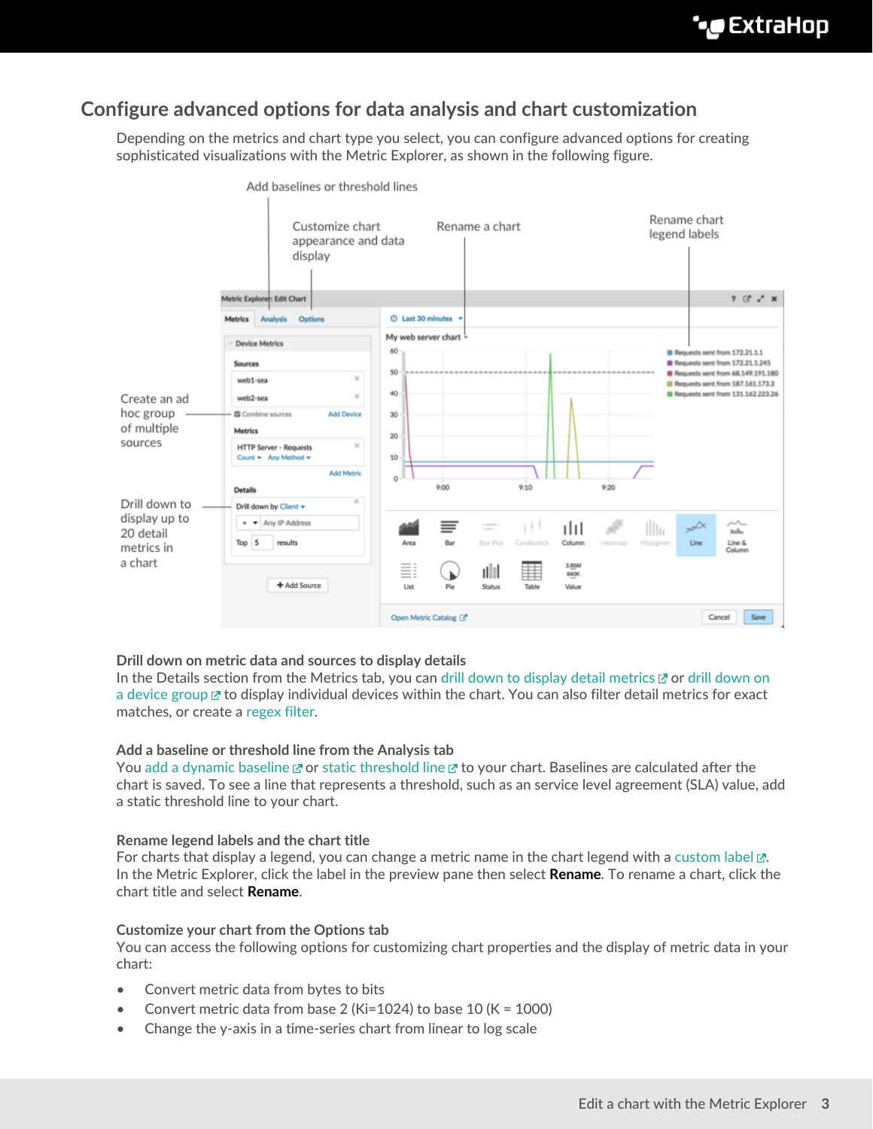## **Configure advanced options for data analysis and chart customization**

Depending on the metrics and chart type you select, you can configure advanced options for creating sophisticated visualizations with the Metric Explorer, as shown in the following figure.



Add baselines or threshold lines

## **Drill down on metric data and sources to display details**

In the Details section from the Metrics tab, you can [drill down to display detail metrics](https://docs.extrahop.com/8.1/drill-down/#add-detail-metrics-to-a-chart)  $\mathbb Z$  or [drill down on](https://docs.extrahop.com/8.1/display-group-members-chart) [a device group](https://docs.extrahop.com/8.1/display-group-members-chart) **E** to display individual devices within the chart. You can also filter detail metrics for exact matches, or create a [regex filter.](#page-3-0)

## **Add a baseline or threshold line from the Analysis tab**

You [add a dynamic baseline](https://docs.extrahop.com/8.1/add-dynamic-baseline) & or [static threshold line](https://docs.extrahop.com/8.1/add-threshold-line) & to your chart. Baselines are calculated after the chart is saved. To see a line that represents a threshold, such as an service level agreement (SLA) value, add a static threshold line to your chart.

## **Rename legend labels and the chart title**

For charts that display a legend, you can change a metric name in the chart legend with a [custom label](https://docs.extrahop.com/8.1/change-chart-label)  $\mathbb{Z}$ . In the Metric Explorer, click the label in the preview pane then select **Rename**. To rename a chart, click the chart title and select **Rename**.

## **Customize your chart from the Options tab**

You can access the following options for customizing chart properties and the display of metric data in your chart:

- Convert metric data from bytes to bits
- Convert metric data from base 2 (Ki=1024) to base 10 (K = 1000)
- Change the y-axis in a time-series chart from linear to log scale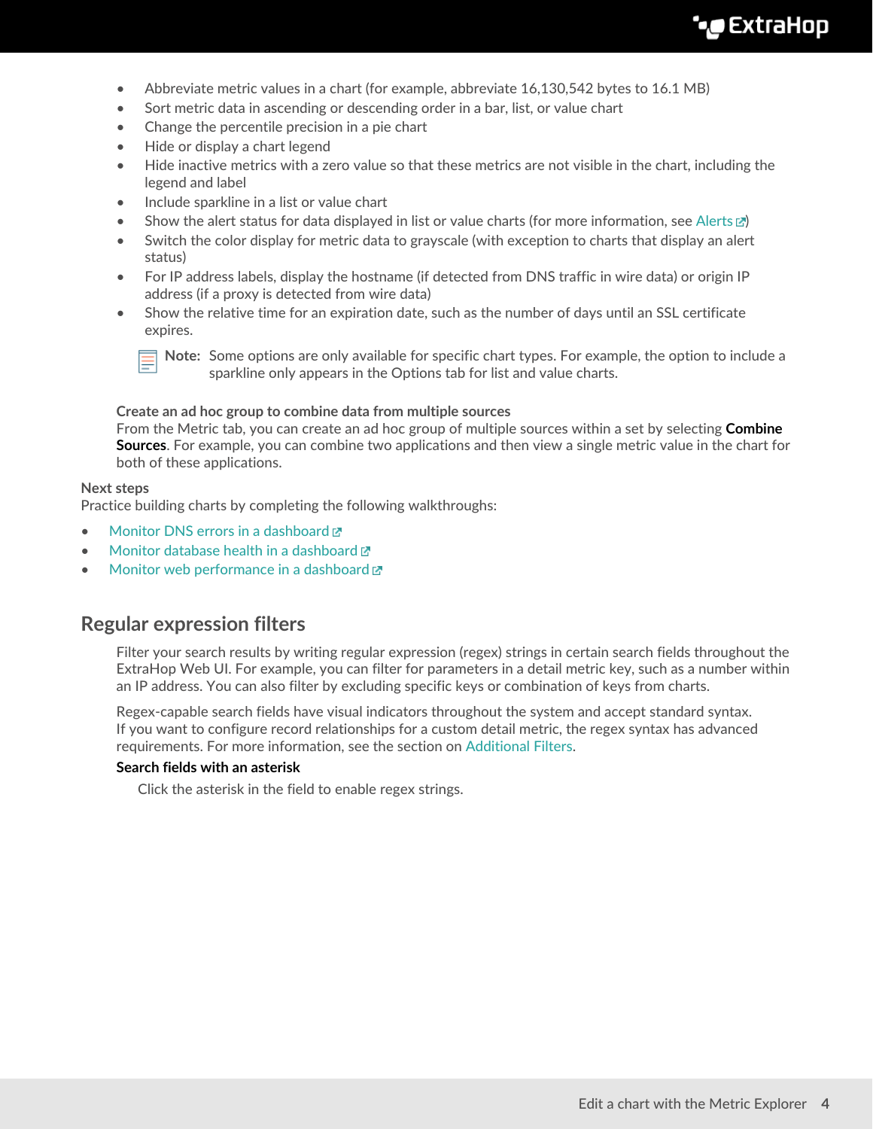- Abbreviate metric values in a chart (for example, abbreviate 16,130,542 bytes to 16.1 MB)
- Sort metric data in ascending or descending order in a bar, list, or value chart
- Change the percentile precision in a pie chart
- Hide or display a chart legend
- Hide inactive metrics with a zero value so that these metrics are not visible in the chart, including the legend and label
- Include sparkline in a list or value chart
- Show the alert status for data displayed in list or value charts (for more information, see Alerts  $\mathbb{Z}$ )
- Switch the color display for metric data to grayscale (with exception to charts that display an alert status)
- For IP address labels, display the hostname (if detected from DNS traffic in wire data) or origin IP address (if a proxy is detected from wire data)
- Show the relative time for an expiration date, such as the number of days until an SSL certificate expires.



**Note:** Some options are only available for specific chart types. For example, the option to include a sparkline only appears in the Options tab for list and value charts.

**Create an ad hoc group to combine data from multiple sources**

From the Metric tab, you can create an ad hoc group of multiple sources within a set by selecting **Combine Sources**. For example, you can combine two applications and then view a single metric value in the chart for both of these applications.

## **Next steps**

Practice building charts by completing the following walkthroughs:

- [Monitor DNS errors in a dashboard](https://docs.extrahop.com/8.1/walkthrough-dns-errors/)  $\blacksquare$
- [Monitor database health in a dashboard](https://docs.extrahop.com/8.1/walkthrough-database-questions/)  $\mathbb{Z}$
- [Monitor web performance in a dashboard](https://docs.extrahop.com/8.1/walkthrough-dashboard/)  $\mathbb{Z}$

## <span id="page-3-0"></span>**Regular expression filters**

Filter your search results by writing regular expression (regex) strings in certain search fields throughout the ExtraHop Web UI. For example, you can filter for parameters in a detail metric key, such as a number within an IP address. You can also filter by excluding specific keys or combination of keys from charts.

Regex-capable search fields have visual indicators throughout the system and accept standard syntax. If you want to configure record relationships for a custom detail metric, the regex syntax has advanced requirements. For more information, see the section on [Additional Filters.](#page-5-0)

## **Search fields with an asterisk**

Click the asterisk in the field to enable regex strings.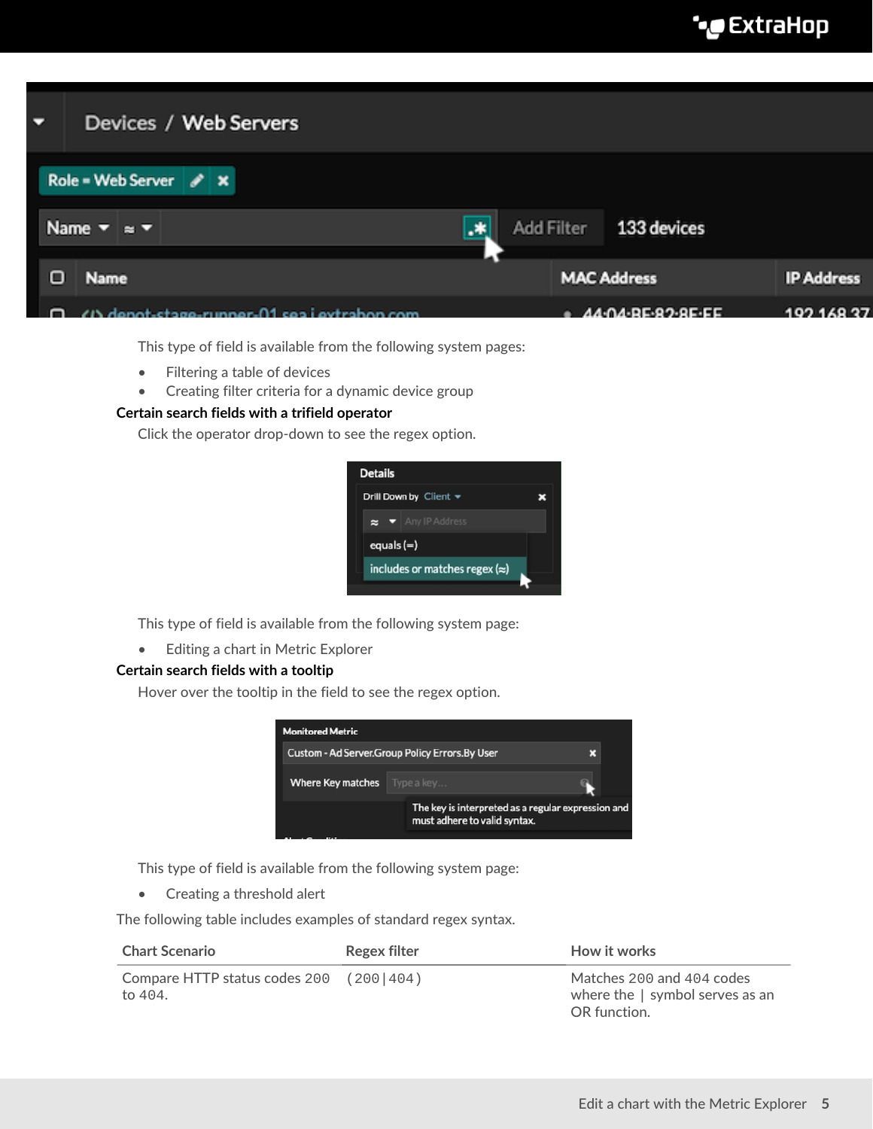| Ξ | Devices / Web Servers                        |    |                                                           |                   |
|---|----------------------------------------------|----|-----------------------------------------------------------|-------------------|
|   | Role = Web Server $\mathscr{L} \times$       |    |                                                           |                   |
|   | Name $\mathbf{v}$ = $\mathbf{v}$             | .* | Add Filter 133 devices                                    |                   |
| о | Name                                         |    | <b>MAC Address</b>                                        | <b>IP Address</b> |
|   | /I\ danat-ctoga-runnar-01 can i avtroban com |    | $= AA \cdot OA \cdot BE \cdot Q \cdot Q \cdot E \cdot EE$ | 10216827          |

This type of field is available from the following system pages:

- Filtering a table of devices
- Creating filter criteria for a dynamic device group

## **Certain search fields with a trifield operator**

Click the operator drop-down to see the regex option.



This type of field is available from the following system page:

• Editing a chart in Metric Explorer

## **Certain search fields with a tooltip**

Hover over the tooltip in the field to see the regex option.



This type of field is available from the following system page:

• Creating a threshold alert

The following table includes examples of standard regex syntax.

| <b>Chart Scenario</b>                                    | Regex filter | How it works                                                                   |
|----------------------------------------------------------|--------------|--------------------------------------------------------------------------------|
| Compare HTTP status codes $200$ (200   404)<br>to $404.$ |              | Matches 200 and 404 codes<br>where the $ $ symbol serves as an<br>OR function. |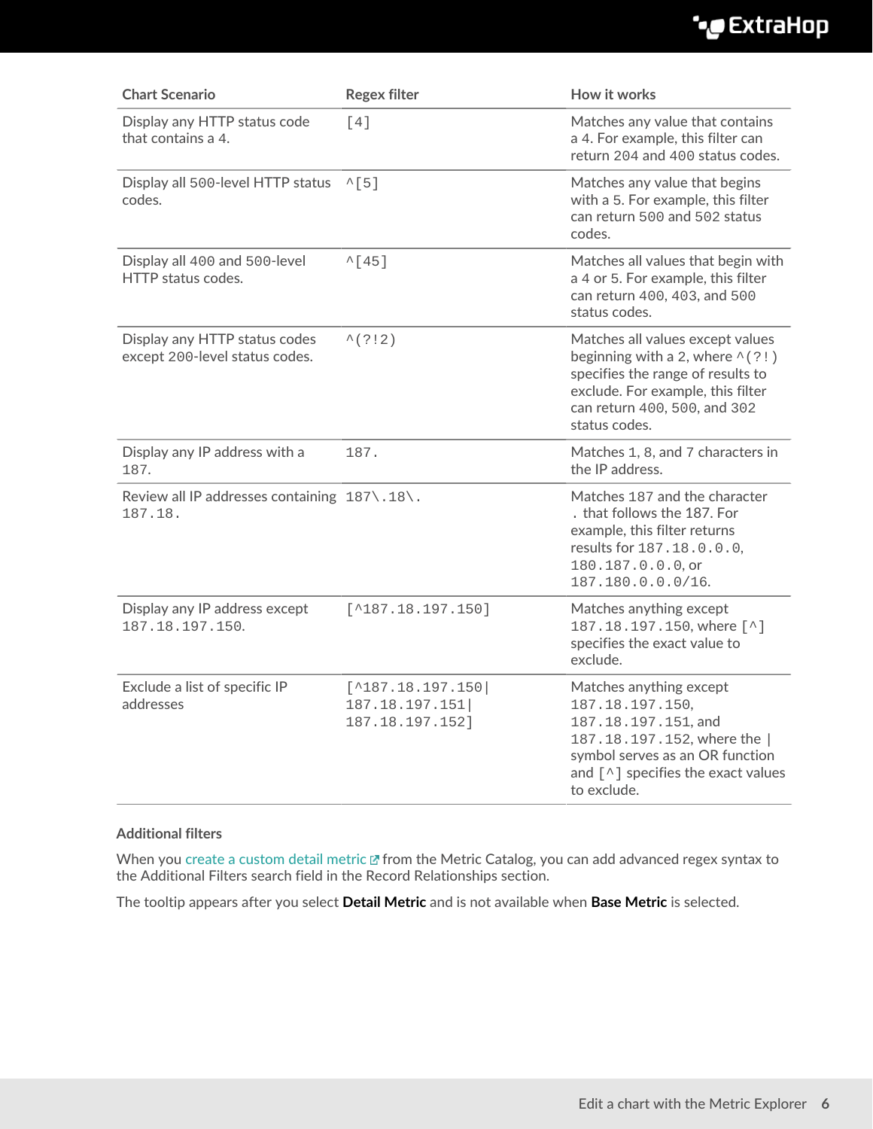## ExtraHop ہے-

| <b>Chart Scenario</b>                                           | <b>Regex filter</b>                                              | How it works                                                                                                                                                                                           |  |  |  |
|-----------------------------------------------------------------|------------------------------------------------------------------|--------------------------------------------------------------------------------------------------------------------------------------------------------------------------------------------------------|--|--|--|
| Display any HTTP status code<br>that contains a 4.              | [4]                                                              | Matches any value that contains<br>a 4. For example, this filter can<br>return 204 and 400 status codes.                                                                                               |  |  |  |
| Display all 500-level HTTP status<br>codes.                     | $^{\wedge}$ [5]                                                  | Matches any value that begins<br>with a 5. For example, this filter<br>can return 500 and 502 status<br>codes.                                                                                         |  |  |  |
| Display all 400 and 500-level<br>HTTP status codes.             | $^{\wedge}$ [45]                                                 | Matches all values that begin with<br>a 4 or 5. For example, this filter<br>can return 400, 403, and 500<br>status codes.                                                                              |  |  |  |
| Display any HTTP status codes<br>except 200-level status codes. | $^{\wedge}$ (?!2)                                                | Matches all values except values<br>beginning with a 2, where $\wedge$ (?!)<br>specifies the range of results to<br>exclude. For example, this filter<br>can return 400, 500, and 302<br>status codes. |  |  |  |
| Display any IP address with a<br>187.                           | 187.                                                             | Matches 1, 8, and 7 characters in<br>the IP address.                                                                                                                                                   |  |  |  |
| Review all IP addresses containing 187\.18\.<br>187.18.         |                                                                  | Matches 187 and the character<br>. that follows the 187. For<br>example, this filter returns<br>results for 187.18.0.0.0,<br>180.187.0.0.0, or<br>187.180.0.0.0/16.                                    |  |  |  |
| Display any IP address except<br>187.18.197.150.                | $[^{\wedge}187.18.197.150]$                                      | Matches anything except<br>187.18.197.150, where [^]<br>specifies the exact value to<br>exclude.                                                                                                       |  |  |  |
| Exclude a list of specific IP<br>addresses                      | $[^{\wedge}187.18.197.150]$<br>187.18.197.151<br>187.18.197.152] | Matches anything except<br>187.18.197.150,<br>187.18.197.151, and<br>187.18.197.152, where the  <br>symbol serves as an OR function<br>and $[^{\wedge}]$ specifies the exact values<br>to exclude.     |  |  |  |

## <span id="page-5-0"></span>**Additional filters**

When you [create a custom detail metric](https://docs.extrahop.com/8.1/create-custom-metric) F from the Metric Catalog, you can add advanced regex syntax to the Additional Filters search field in the Record Relationships section.

The tooltip appears after you select **Detail Metric** and is not available when **Base Metric** is selected.